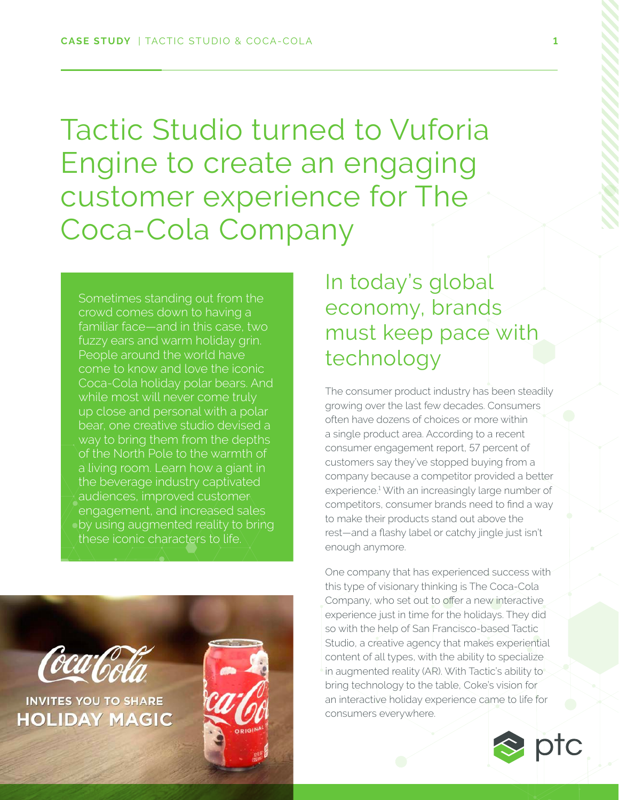Tactic Studio turned to Vuforia Engine to create an engaging customer experience for The Coca-Cola Company

Sometimes standing out from the crowd comes down to having a familiar face—and in this case, two fuzzy ears and warm holiday grin. People around the world have come to know and love the iconic Coca-Cola holiday polar bears. And while most will never come truly up close and personal with a polar bear, one creative studio devised a way to bring them from the depths of the North Pole to the warmth of a living room. Learn how a giant in the beverage industry captivated audiences, improved customer engagement, and increased sales by using augmented reality to bring these iconic characters to life.



In today's global economy, brands must keep pace with technology

The consumer product industry has been steadily growing over the last few decades. Consumers often have dozens of choices or more within a single product area. According to a recent consumer engagement report, 57 percent of customers say they've stopped buying from a company because a competitor provided a better experience.1 With an increasingly large number of competitors, consumer brands need to find a way to make their products stand out above the rest—and a flashy label or catchy jingle just isn't enough anymore.

One company that has experienced success with this type of visionary thinking is The Coca-Cola Company, who set out to offer a new interactive experience just in time for the holidays. They did so with the help of San Francisco-based Tactic Studio, a creative agency that makes experiential content of all types, with the ability to specialize in augmented reality (AR). With Tactic's ability to bring technology to the table, Coke's vision for an interactive holiday experience came to life for consumers everywhere.

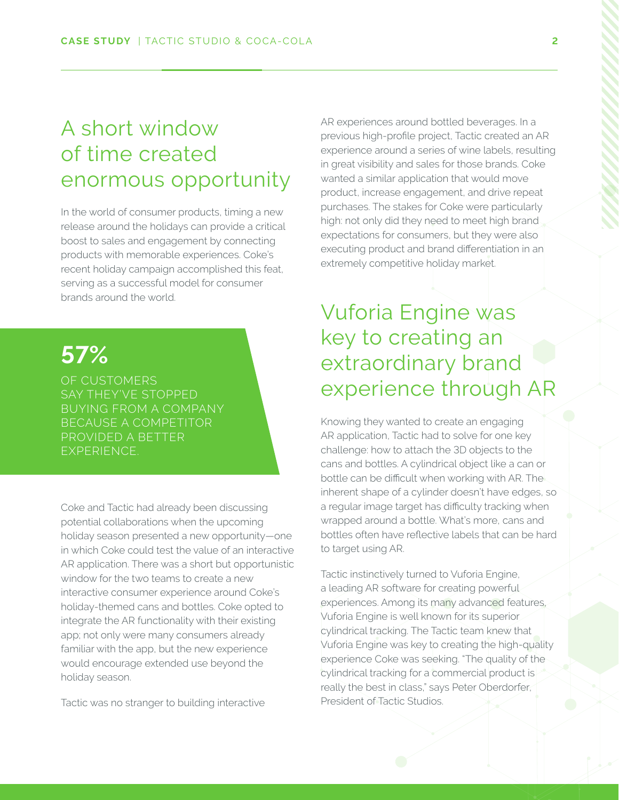### A short window of time created enormous opportunity

In the world of consumer products, timing a new release around the holidays can provide a critical boost to sales and engagement by connecting products with memorable experiences. Coke's recent holiday campaign accomplished this feat, serving as a successful model for consumer brands around the world.

# **57%**

OF CUSTOMERS BUYING FROM A COMPANY BECAUSE A COMPETITOR PROVIDED A BETTER EXPERIENCE.

Coke and Tactic had already been discussing potential collaborations when the upcoming holiday season presented a new opportunity—one in which Coke could test the value of an interactive AR application. There was a short but opportunistic window for the two teams to create a new interactive consumer experience around Coke's holiday-themed cans and bottles. Coke opted to integrate the AR functionality with their existing app; not only were many consumers already familiar with the app, but the new experience would encourage extended use beyond the holiday season.

Tactic was no stranger to building interactive

AR experiences around bottled beverages. In a previous high-profile project, Tactic created an AR experience around a series of wine labels, resulting in great visibility and sales for those brands. Coke wanted a similar application that would move product, increase engagement, and drive repeat purchases. The stakes for Coke were particularly high: not only did they need to meet high brand expectations for consumers, but they were also executing product and brand differentiation in an extremely competitive holiday market.

## Vuforia Engine was key to creating an extraordinary brand experience through AR

Knowing they wanted to create an engaging AR application, Tactic had to solve for one key challenge: how to attach the 3D objects to the cans and bottles. A cylindrical object like a can or bottle can be difficult when working with AR. The inherent shape of a cylinder doesn't have edges, so a regular image target has difficulty tracking when wrapped around a bottle. What's more, cans and bottles often have reflective labels that can be hard to target using AR.

Tactic instinctively turned to Vuforia Engine, a leading AR software for creating powerful experiences. Among its many advanced features, Vuforia Engine is well known for its superior cylindrical tracking. The Tactic team knew that Vuforia Engine was key to creating the high-quality experience Coke was seeking. "The quality of the cylindrical tracking for a commercial product is really the best in class," says Peter Oberdorfer, President of Tactic Studios.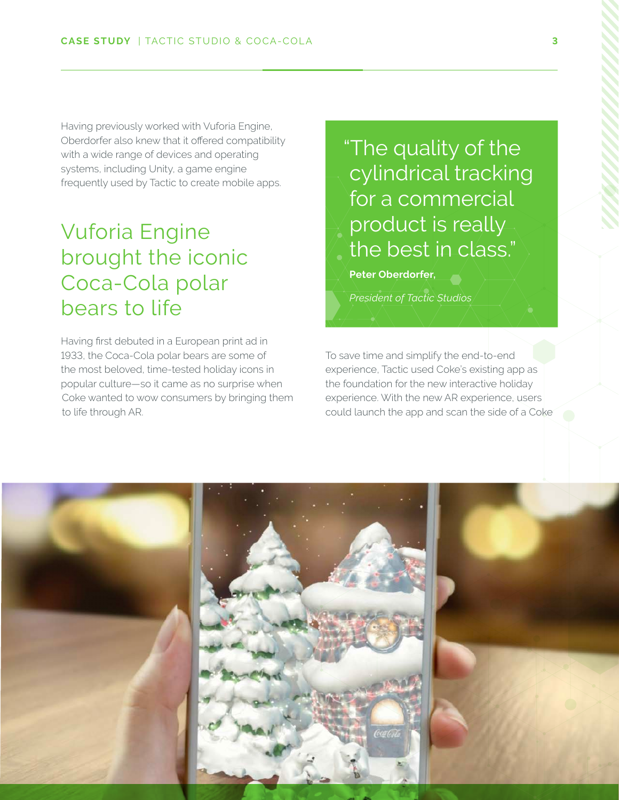Having previously worked with Vuforia Engine, Oberdorfer also knew that it offered compatibility with a wide range of devices and operating systems, including Unity, a game engine frequently used by Tactic to create mobile apps.

### Vuforia Engine brought the iconic Coca-Cola polar bears to life

Having first debuted in a European print ad in 1933, the Coca-Cola polar bears are some of the most beloved, time-tested holiday icons in popular culture—so it came as no surprise when Coke wanted to wow consumers by bringing them to life through AR.

"The quality of the cylindrical tracking for a commercial product is really the best in class."

**Peter Oberdorfer,** 

*President of Tactic Studios*

To save time and simplify the end-to-end experience, Tactic used Coke's existing app as the foundation for the new interactive holiday experience. With the new AR experience, users could launch the app and scan the side of a Coke

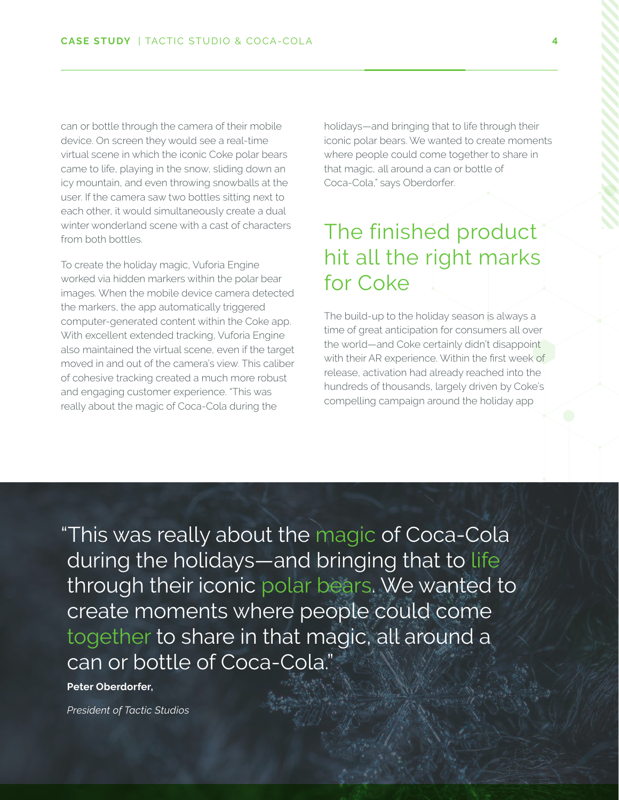can or bottle through the camera of their mobile device. On screen they would see a real-time virtual scene in which the iconic Coke polar bears came to life, playing in the snow, sliding down an icy mountain, and even throwing snowballs at the user. If the camera saw two bottles sitting next to each other, it would simultaneously create a dual winter wonderland scene with a cast of characters from both bottles.

To create the holiday magic, Vuforia Engine worked via hidden markers within the polar bear images. When the mobile device camera detected the markers, the app automatically triggered computer-generated content within the Coke app. With excellent extended tracking, Vuforia Engine also maintained the virtual scene, even if the target moved in and out of the camera's view. This caliber of cohesive tracking created a much more robust and engaging customer experience. "This was really about the magic of Coca-Cola during the

holidays—and bringing that to life through their iconic polar bears. We wanted to create moments where people could come together to share in that magic, all around a can or bottle of Coca-Cola," says Oberdorfer.

## The finished product hit all the right marks for Coke

The build-up to the holiday season is always a time of great anticipation for consumers all over the world—and Coke certainly didn't disappoint with their AR experience. Within the first week of release, activation had already reached into the hundreds of thousands, largely driven by Coke's compelling campaign around the holiday app

"This was really about the magic of Coca-Cola during the holidays—and bringing that to life through their iconic polar bears. We wanted to create moments where people could come together to share in that magic, all around a can or bottle of Coca-Cola."

#### **Peter Oberdorfer,**

*President of Tactic Studios*